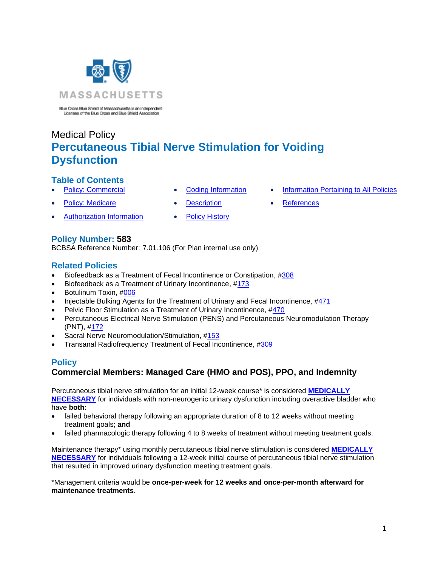

Blue Cross Blue Shield of Massachusetts is an Independent<br>Licensee of the Blue Cross and Blue Shield Association

# Medical Policy **Percutaneous Tibial Nerve Stimulation for Voiding Dysfunction**

# **Table of Contents**

- 
- 
- **Policy: Medicare [Description](#page-2-0) [References](#page-5-0)** 
	-
	- [Authorization Information](#page-1-1) [Policy History](#page-4-1)
- **[Policy: Commercial](#page-0-0) [Coding Information](#page-1-0) [Information Pertaining to All Policies](#page-4-0)** 
	-

# **Policy Number: 583**

BCBSA Reference Number: 7.01.106 (For Plan internal use only)

# **Related Policies**

- [Biofeedback as a Treatment of Fecal Incontinence or Constipation, #308](http://www.bluecrossma.org/medical-policies/sites/g/files/csphws2091/files/acquiadam-assets/308%20Biofeedback%20as%20a%20Treatment%20of%20Fecal%20Incontinence%20or%20Constipation%20prn.pdf)
- [Biofeedback as a Treatment of Urinary Incontinence, #173](http://www.bluecrossma.org/medical-policies/sites/g/files/csphws2091/files/acquiadam-assets/173%20Biofeedback%20as%20a%20Treatment%20of%20Urinary%20Incontinence%20prn.pdf)
- Botulinum Toxin, [#006](https://www.bluecrossma.org/medical-policies/sites/g/files/csphws2091/files/acquiadam-assets/006%20Botulinum%20Toxin%20Injections%20SP%20prn.pdf)
- [Injectable Bulking Agents for the Treatment of Urinary and Fecal Incontinence, #471](http://www.bluecrossma.org/medical-policies/sites/g/files/csphws2091/files/acquiadam-assets/471%20Injectable%20Bulking%20Agents%20for%20the%20Treatment%20of%20Urinary%20and%20Fecal%20Incontinence%20prn.pdf)
- Pelvic Floor Stimulation as a Treatment of Urinary Incontinence, [#470](http://www.bluecrossma.org/medical-policies/sites/g/files/csphws2091/files/acquiadam-assets/470%20Pelvic%20Floor%20Stimulation%20as%20a%20Treatment%20of%20Urinary%20Incontinence%20and%20Fecal%20Incontinence%20prn.pdf)
- Percutaneous Electrical Nerve Stimulation (PENS) [and Percutaneous Neuromodulation Therapy](http://www.bluecrossma.org/medical-policies/sites/g/files/csphws2091/files/acquiadam-assets/172%20Percutaneous%20Electrical%20Nerve%20Stimulation%20-%20PENS%20-%20and%20Percutaneous%20Neuromodulation%20Therapy%20-%20PNT%20prn.pdf) [\(PNT\), #172](http://www.bluecrossma.org/medical-policies/sites/g/files/csphws2091/files/acquiadam-assets/172%20Percutaneous%20Electrical%20Nerve%20Stimulation%20-%20PENS%20-%20and%20Percutaneous%20Neuromodulation%20Therapy%20-%20PNT%20prn.pdf)
- Sacral Nerve Neuromodulation/Stimulation, [#153](http://www.bluecrossma.org/medical-policies/sites/g/files/csphws2091/files/acquiadam-assets/153%20Sacral%20Nerve%20Neuromodulation-Stimulation%20prn.pdf)
- <span id="page-0-0"></span>• [Transanal Radiofrequency Treatment of Fecal Incontinence, #309](http://www.bluecrossma.org/medical-policies/sites/g/files/csphws2091/files/acquiadam-assets/309%20Transanal%20Radiofrequency%20Treatment%20of%20Fecal%20Incontinence%20prn.pdf)

### **Policy Commercial Members: Managed Care (HMO and POS), PPO, and Indemnity**

Percutaneous tibial nerve stimulation for an initial 12-week course\* is considered **[MEDICALLY](https://www.bluecrossma.org/medical-policies/sites/g/files/csphws2091/files/acquiadam-assets/Definition%20of%20Med%20Nec%20Inv%20Not%20Med%20Nec%20prn.pdf#page=1)  [NECESSARY](https://www.bluecrossma.org/medical-policies/sites/g/files/csphws2091/files/acquiadam-assets/Definition%20of%20Med%20Nec%20Inv%20Not%20Med%20Nec%20prn.pdf#page=1)** for individuals with non-neurogenic urinary dysfunction including overactive bladder who have **both**:

- failed behavioral therapy following an appropriate duration of 8 to 12 weeks without meeting treatment goals; **and**
- failed pharmacologic therapy following 4 to 8 weeks of treatment without meeting treatment goals.

Maintenance therapy\* using monthly percutaneous tibial nerve stimulation is considered **[MEDICALLY](https://www.bluecrossma.org/medical-policies/sites/g/files/csphws2091/files/acquiadam-assets/Definition%20of%20Med%20Nec%20Inv%20Not%20Med%20Nec%20prn.pdf#page=1)  [NECESSARY](https://www.bluecrossma.org/medical-policies/sites/g/files/csphws2091/files/acquiadam-assets/Definition%20of%20Med%20Nec%20Inv%20Not%20Med%20Nec%20prn.pdf#page=1)** for individuals following a 12-week initial course of percutaneous tibial nerve stimulation that resulted in improved urinary dysfunction meeting treatment goals.

\*Management criteria would be **once-per-week for 12 weeks and once-per-month afterward for maintenance treatments**.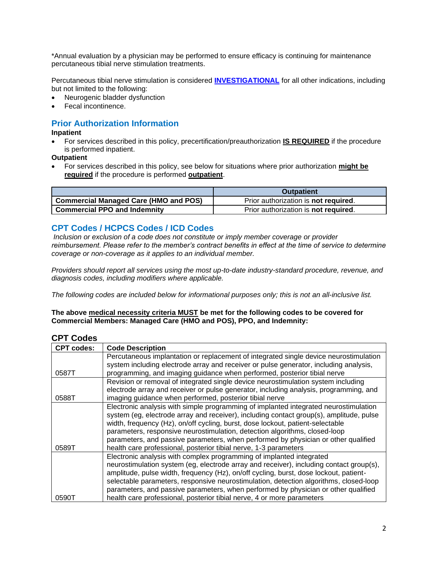\*Annual evaluation by a physician may be performed to ensure efficacy is continuing for maintenance percutaneous tibial nerve stimulation treatments.

Percutaneous tibial nerve stimulation is considered **[INVESTIGATIONAL](https://www.bluecrossma.org/medical-policies/sites/g/files/csphws2091/files/acquiadam-assets/Definition%20of%20Med%20Nec%20Inv%20Not%20Med%20Nec%20prn.pdf#page=1)** for all other indications, including but not limited to the following:

- Neurogenic bladder dysfunction
- Fecal incontinence.

# <span id="page-1-1"></span>**Prior Authorization Information**

**Inpatient**

• For services described in this policy, precertification/preauthorization **IS REQUIRED** if the procedure is performed inpatient.

**Outpatient**

• For services described in this policy, see below for situations where prior authorization **might be required** if the procedure is performed **outpatient**.

|                                              | <b>Outpatient</b>                            |
|----------------------------------------------|----------------------------------------------|
| <b>Commercial Managed Care (HMO and POS)</b> | Prior authorization is <b>not required</b> . |
| <b>Commercial PPO and Indemnity</b>          | Prior authorization is not required.         |

### <span id="page-1-0"></span>**CPT Codes / HCPCS Codes / ICD Codes**

*Inclusion or exclusion of a code does not constitute or imply member coverage or provider reimbursement. Please refer to the member's contract benefits in effect at the time of service to determine coverage or non-coverage as it applies to an individual member.*

*Providers should report all services using the most up-to-date industry-standard procedure, revenue, and diagnosis codes, including modifiers where applicable.*

*The following codes are included below for informational purposes only; this is not an all-inclusive list.*

### **The above medical necessity criteria MUST be met for the following codes to be covered for Commercial Members: Managed Care (HMO and POS), PPO, and Indemnity:**

# **CPT Codes**

| <b>CPT codes:</b> | <b>Code Description</b>                                                                 |
|-------------------|-----------------------------------------------------------------------------------------|
|                   | Percutaneous implantation or replacement of integrated single device neurostimulation   |
|                   | system including electrode array and receiver or pulse generator, including analysis,   |
| 0587T             | programming, and imaging guidance when performed, posterior tibial nerve                |
|                   | Revision or removal of integrated single device neurostimulation system including       |
|                   | electrode array and receiver or pulse generator, including analysis, programming, and   |
| 0588T             | imaging guidance when performed, posterior tibial nerve                                 |
|                   | Electronic analysis with simple programming of implanted integrated neurostimulation    |
|                   | system (eg, electrode array and receiver), including contact group(s), amplitude, pulse |
|                   | width, frequency (Hz), on/off cycling, burst, dose lockout, patient-selectable          |
|                   | parameters, responsive neurostimulation, detection algorithms, closed-loop              |
|                   | parameters, and passive parameters, when performed by physician or other qualified      |
| 0589T             | health care professional, posterior tibial nerve, 1-3 parameters                        |
|                   | Electronic analysis with complex programming of implanted integrated                    |
|                   | neurostimulation system (eg, electrode array and receiver), including contact group(s), |
|                   | amplitude, pulse width, frequency (Hz), on/off cycling, burst, dose lockout, patient-   |
|                   | selectable parameters, responsive neurostimulation, detection algorithms, closed-loop   |
|                   | parameters, and passive parameters, when performed by physician or other qualified      |
| 0590T             | health care professional, posterior tibial nerve, 4 or more parameters                  |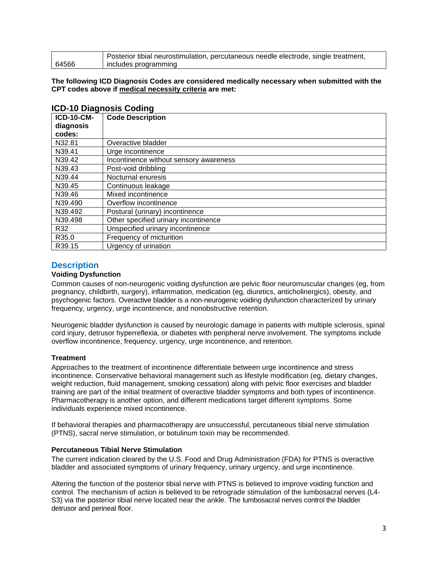|       | Posterior tibial neurostimulation, percutaneous needle electrode, single treatment, |
|-------|-------------------------------------------------------------------------------------|
| 64566 | includes programming                                                                |

#### **The following ICD Diagnosis Codes are considered medically necessary when submitted with the CPT codes above if medical necessity criteria are met:**

| <b>ICD-10-CM-</b> | <b>Code Description</b>                |
|-------------------|----------------------------------------|
| diagnosis         |                                        |
| codes:            |                                        |
| N32.81            | Overactive bladder                     |
| N39.41            | Urge incontinence                      |
| N39.42            | Incontinence without sensory awareness |
| N39.43            | Post-void dribbling                    |
| N39.44            | Nocturnal enuresis                     |
| N39.45            | Continuous leakage                     |
| N39.46            | Mixed incontinence                     |
| N39.490           | Overflow incontinence                  |
| N39.492           | Postural (urinary) incontinence        |
| N39.498           | Other specified urinary incontinence   |
| R32               | Unspecified urinary incontinence       |
| R35.0             | Frequency of micturition               |
| R39.15            | Urgency of urination                   |

### **ICD-10 Diagnosis Coding**

### <span id="page-2-0"></span>**Description**

### **Voiding Dysfunction**

Common causes of non-neurogenic voiding dysfunction are pelvic floor neuromuscular changes (eg, from pregnancy, childbirth, surgery), inflammation, medication (eg, diuretics, anticholinergics), obesity, and psychogenic factors. Overactive bladder is a non-neurogenic voiding dysfunction characterized by urinary frequency, urgency, urge incontinence, and nonobstructive retention.

Neurogenic bladder dysfunction is caused by neurologic damage in patients with multiple sclerosis, spinal cord injury, detrusor hyperreflexia, or diabetes with peripheral nerve involvement. The symptoms include overflow incontinence, frequency, urgency, urge incontinence, and retention.

### **Treatment**

Approaches to the treatment of incontinence differentiate between urge incontinence and stress incontinence. Conservative behavioral management such as lifestyle modification (eg, dietary changes, weight reduction, fluid management, smoking cessation) along with pelvic floor exercises and bladder training are part of the initial treatment of overactive bladder symptoms and both types of incontinence. Pharmacotherapy is another option, and different medications target different symptoms. Some individuals experience mixed incontinence.

If behavioral therapies and pharmacotherapy are unsuccessful, percutaneous tibial nerve stimulation (PTNS), sacral nerve stimulation, or botulinum toxin may be recommended.

### **Percutaneous Tibial Nerve Stimulation**

The current indication cleared by the U.S. Food and Drug Administration (FDA) for PTNS is overactive bladder and associated symptoms of urinary frequency, urinary urgency, and urge incontinence.

Altering the function of the posterior tibial nerve with PTNS is believed to improve voiding function and control. The mechanism of action is believed to be retrograde stimulation of the lumbosacral nerves (L4- S3) via the posterior tibial nerve located near the ankle. The lumbosacral nerves control the bladder detrusor and perineal floor.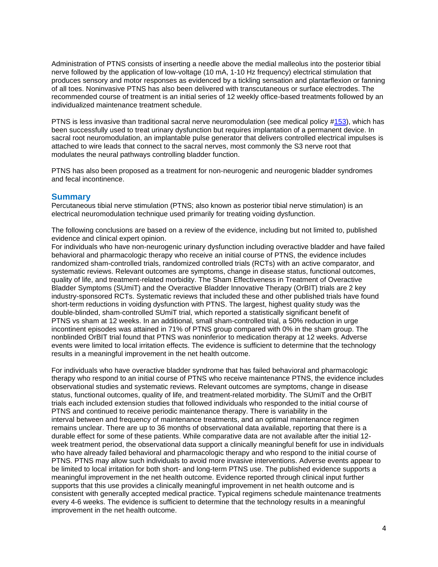Administration of PTNS consists of inserting a needle above the medial malleolus into the posterior tibial nerve followed by the application of low-voltage (10 mA, 1-10 Hz frequency) electrical stimulation that produces sensory and motor responses as evidenced by a tickling sensation and plantarflexion or fanning of all toes. Noninvasive PTNS has also been delivered with transcutaneous or surface electrodes. The recommended course of treatment is an initial series of 12 weekly office-based treatments followed by an individualized maintenance treatment schedule.

PTNS is less invasive than traditional sacral nerve neuromodulation (see medical policy [#153\)](http://www.bluecrossma.org/medical-policies/sites/g/files/csphws2091/files/acquiadam-assets/153%20Sacral%20Nerve%20Neuromodulation-Stimulation%20prn.pdf), which has been successfully used to treat urinary dysfunction but requires implantation of a permanent device. In sacral root neuromodulation, an implantable pulse generator that delivers controlled electrical impulses is attached to wire leads that connect to the sacral nerves, most commonly the S3 nerve root that modulates the neural pathways controlling bladder function.

PTNS has also been proposed as a treatment for non-neurogenic and neurogenic bladder syndromes and fecal incontinence.

### **Summary**

Percutaneous tibial nerve stimulation (PTNS; also known as posterior tibial nerve stimulation) is an electrical neuromodulation technique used primarily for treating voiding dysfunction.

The following conclusions are based on a review of the evidence, including but not limited to, published evidence and clinical expert opinion.

For individuals who have non-neurogenic urinary dysfunction including overactive bladder and have failed behavioral and pharmacologic therapy who receive an initial course of PTNS, the evidence includes randomized sham-controlled trials, randomized controlled trials (RCTs) with an active comparator, and systematic reviews. Relevant outcomes are symptoms, change in disease status, functional outcomes, quality of life, and treatment-related morbidity. The Sham Effectiveness in Treatment of Overactive Bladder Symptoms (SUmiT) and the Overactive Bladder Innovative Therapy (OrBIT) trials are 2 key industry-sponsored RCTs. Systematic reviews that included these and other published trials have found short-term reductions in voiding dysfunction with PTNS. The largest, highest quality study was the double-blinded, sham-controlled SUmiT trial, which reported a statistically significant benefit of PTNS vs sham at 12 weeks. In an additional, small sham-controlled trial, a 50% reduction in urge incontinent episodes was attained in 71% of PTNS group compared with 0% in the sham group. The nonblinded OrBIT trial found that PTNS was noninferior to medication therapy at 12 weeks. Adverse events were limited to local irritation effects. The evidence is sufficient to determine that the technology results in a meaningful improvement in the net health outcome.

For individuals who have overactive bladder syndrome that has failed behavioral and pharmacologic therapy who respond to an initial course of PTNS who receive maintenance PTNS, the evidence includes observational studies and systematic reviews. Relevant outcomes are symptoms, change in disease status, functional outcomes, quality of life, and treatment-related morbidity. The SUmiT and the OrBIT trials each included extension studies that followed individuals who responded to the initial course of PTNS and continued to receive periodic maintenance therapy. There is variability in the interval between and frequency of maintenance treatments, and an optimal maintenance regimen remains unclear. There are up to 36 months of observational data available, reporting that there is a durable effect for some of these patients. While comparative data are not available after the initial 12 week treatment period, the observational data support a clinically meaningful benefit for use in individuals who have already failed behavioral and pharmacologic therapy and who respond to the initial course of PTNS. PTNS may allow such individuals to avoid more invasive interventions. Adverse events appear to be limited to local irritation for both short- and long-term PTNS use. The published evidence supports a meaningful improvement in the net health outcome. Evidence reported through clinical input further supports that this use provides a clinically meaningful improvement in net health outcome and is consistent with generally accepted medical practice. Typical regimens schedule maintenance treatments every 4-6 weeks. The evidence is sufficient to determine that the technology results in a meaningful improvement in the net health outcome.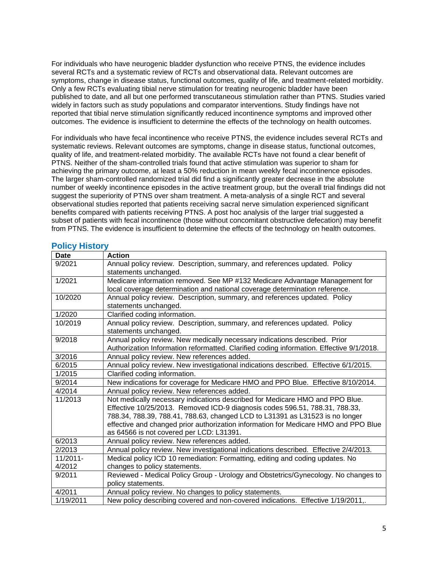For individuals who have neurogenic bladder dysfunction who receive PTNS, the evidence includes several RCTs and a systematic review of RCTs and observational data. Relevant outcomes are symptoms, change in disease status, functional outcomes, quality of life, and treatment-related morbidity. Only a few RCTs evaluating tibial nerve stimulation for treating neurogenic bladder have been published to date, and all but one performed transcutaneous stimulation rather than PTNS. Studies varied widely in factors such as study populations and comparator interventions. Study findings have not reported that tibial nerve stimulation significantly reduced incontinence symptoms and improved other outcomes. The evidence is insufficient to determine the effects of the technology on health outcomes.

For individuals who have fecal incontinence who receive PTNS, the evidence includes several RCTs and systematic reviews. Relevant outcomes are symptoms, change in disease status, functional outcomes, quality of life, and treatment-related morbidity. The available RCTs have not found a clear benefit of PTNS. Neither of the sham-controlled trials found that active stimulation was superior to sham for achieving the primary outcome, at least a 50% reduction in mean weekly fecal incontinence episodes. The larger sham-controlled randomized trial did find a significantly greater decrease in the absolute number of weekly incontinence episodes in the active treatment group, but the overall trial findings did not suggest the superiority of PTNS over sham treatment. A meta-analysis of a single RCT and several observational studies reported that patients receiving sacral nerve simulation experienced significant benefits compared with patients receiving PTNS. A post hoc analysis of the larger trial suggested a subset of patients with fecal incontinence (those without concomitant obstructive defecation) may benefit from PTNS. The evidence is insufficient to determine the effects of the technology on health outcomes.

<span id="page-4-0"></span>

| <b>Date</b> | <b>Action</b>                                                                            |
|-------------|------------------------------------------------------------------------------------------|
| 9/2021      | Annual policy review. Description, summary, and references updated. Policy               |
|             | statements unchanged.                                                                    |
| 1/2021      | Medicare information removed. See MP #132 Medicare Advantage Management for              |
|             | local coverage determination and national coverage determination reference.              |
| 10/2020     | Annual policy review. Description, summary, and references updated. Policy               |
|             | statements unchanged.                                                                    |
| 1/2020      | Clarified coding information.                                                            |
| 10/2019     | Annual policy review. Description, summary, and references updated. Policy               |
|             | statements unchanged.                                                                    |
| 9/2018      | Annual policy review. New medically necessary indications described. Prior               |
|             | Authorization Information reformatted. Clarified coding information. Effective 9/1/2018. |
| 3/2016      | Annual policy review. New references added.                                              |
| 6/2015      | Annual policy review. New investigational indications described. Effective 6/1/2015.     |
| 1/2015      | Clarified coding information.                                                            |
| 9/2014      | New indications for coverage for Medicare HMO and PPO Blue. Effective 8/10/2014.         |
| 4/2014      | Annual policy review. New references added.                                              |
| 11/2013     | Not medically necessary indications described for Medicare HMO and PPO Blue.             |
|             | Effective 10/25/2013. Removed ICD-9 diagnosis codes 596.51, 788.31, 788.33,              |
|             | 788.34, 788.39, 788.41, 788.63, changed LCD to L31391 as L31523 is no longer             |
|             | effective and changed prior authorization information for Medicare HMO and PPO Blue      |
|             | as 64566 is not covered per LCD: L31391.                                                 |
| 6/2013      | Annual policy review. New references added.                                              |
| 2/2013      | Annual policy review. New investigational indications described. Effective 2/4/2013.     |
| $11/2011 -$ | Medical policy ICD 10 remediation: Formatting, editing and coding updates. No            |
| 4/2012      | changes to policy statements.                                                            |
| 9/2011      | Reviewed - Medical Policy Group - Urology and Obstetrics/Gynecology. No changes to       |
|             | policy statements.                                                                       |
| 4/2011      | Annual policy review. No changes to policy statements.                                   |
| 1/19/2011   | New policy describing covered and non-covered indications. Effective 1/19/2011,.         |

### <span id="page-4-1"></span>**Policy History**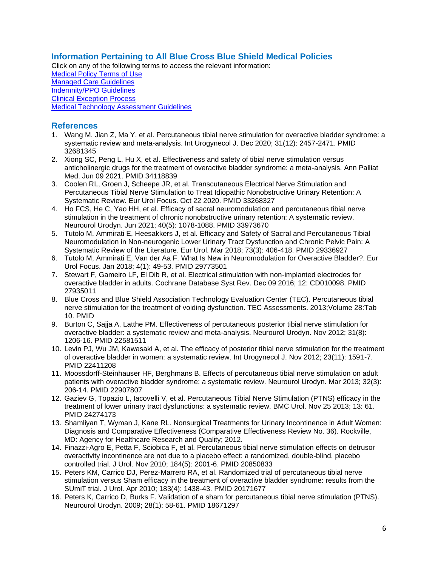# **Information Pertaining to All Blue Cross Blue Shield Medical Policies**

Click on any of the following terms to access the relevant information: [Medical Policy Terms of Use](http://www.bluecrossma.org/medical-policies/sites/g/files/csphws2091/files/acquiadam-assets/Medical_Policy_Terms_of_Use_prn.pdf) [Managed Care Guidelines](http://www.bluecrossma.org/medical-policies/sites/g/files/csphws2091/files/acquiadam-assets/Managed_Care_Guidelines_prn.pdf) [Indemnity/PPO Guidelines](http://www.bluecrossma.org/medical-policies/sites/g/files/csphws2091/files/acquiadam-assets/Indemnity_and_PPO_Guidelines_prn.pdf) [Clinical Exception Process](http://www.bluecrossma.org/medical-policies/sites/g/files/csphws2091/files/acquiadam-assets/Clinical_Exception_Process_prn.pdf) [Medical Technology Assessment Guidelines](http://www.bluecrossma.org/medical-policies/sites/g/files/csphws2091/files/acquiadam-assets/Medical_Technology_Assessment_Guidelines_prn.pdf)

# <span id="page-5-0"></span>**References**

- 1. Wang M, Jian Z, Ma Y, et al. Percutaneous tibial nerve stimulation for overactive bladder syndrome: a systematic review and meta-analysis. Int Urogynecol J. Dec 2020; 31(12): 2457-2471. PMID 32681345
- 2. Xiong SC, Peng L, Hu X, et al. Effectiveness and safety of tibial nerve stimulation versus anticholinergic drugs for the treatment of overactive bladder syndrome: a meta-analysis. Ann Palliat Med. Jun 09 2021. PMID 34118839
- 3. Coolen RL, Groen J, Scheepe JR, et al. Transcutaneous Electrical Nerve Stimulation and Percutaneous Tibial Nerve Stimulation to Treat Idiopathic Nonobstructive Urinary Retention: A Systematic Review. Eur Urol Focus. Oct 22 2020. PMID 33268327
- 4. Ho FCS, He C, Yao HH, et al. Efficacy of sacral neuromodulation and percutaneous tibial nerve stimulation in the treatment of chronic nonobstructive urinary retention: A systematic review. Neurourol Urodyn. Jun 2021; 40(5): 1078-1088. PMID 33973670
- 5. Tutolo M, Ammirati E, Heesakkers J, et al. Efficacy and Safety of Sacral and Percutaneous Tibial Neuromodulation in Non-neurogenic Lower Urinary Tract Dysfunction and Chronic Pelvic Pain: A Systematic Review of the Literature. Eur Urol. Mar 2018; 73(3): 406-418. PMID 29336927
- 6. Tutolo M, Ammirati E, Van der Aa F. What Is New in Neuromodulation for Overactive Bladder?. Eur Urol Focus. Jan 2018; 4(1): 49-53. PMID 29773501
- 7. Stewart F, Gameiro LF, El Dib R, et al. Electrical stimulation with non-implanted electrodes for overactive bladder in adults. Cochrane Database Syst Rev. Dec 09 2016; 12: CD010098. PMID 27935011
- 8. Blue Cross and Blue Shield Association Technology Evaluation Center (TEC). Percutaneous tibial nerve stimulation for the treatment of voiding dysfunction. TEC Assessments. 2013;Volume 28:Tab 10. PMID
- 9. Burton C, Sajja A, Latthe PM. Effectiveness of percutaneous posterior tibial nerve stimulation for overactive bladder: a systematic review and meta-analysis. Neurourol Urodyn. Nov 2012; 31(8): 1206-16. PMID 22581511
- 10. Levin PJ, Wu JM, Kawasaki A, et al. The efficacy of posterior tibial nerve stimulation for the treatment of overactive bladder in women: a systematic review. Int Urogynecol J. Nov 2012; 23(11): 1591-7. PMID 22411208
- 11. Moossdorff-Steinhauser HF, Berghmans B. Effects of percutaneous tibial nerve stimulation on adult patients with overactive bladder syndrome: a systematic review. Neurourol Urodyn. Mar 2013; 32(3): 206-14. PMID 22907807
- 12. Gaziev G, Topazio L, Iacovelli V, et al. Percutaneous Tibial Nerve Stimulation (PTNS) efficacy in the treatment of lower urinary tract dysfunctions: a systematic review. BMC Urol. Nov 25 2013; 13: 61. PMID 24274173
- 13. Shamliyan T, Wyman J, Kane RL. Nonsurgical Treatments for Urinary Incontinence in Adult Women: Diagnosis and Comparative Effectiveness (Comparative Effectiveness Review No. 36). Rockville, MD: Agency for Healthcare Research and Quality; 2012.
- 14. Finazzi-Agro E, Petta F, Sciobica F, et al. Percutaneous tibial nerve stimulation effects on detrusor overactivity incontinence are not due to a placebo effect: a randomized, double-blind, placebo controlled trial. J Urol. Nov 2010; 184(5): 2001-6. PMID 20850833
- 15. Peters KM, Carrico DJ, Perez-Marrero RA, et al. Randomized trial of percutaneous tibial nerve stimulation versus Sham efficacy in the treatment of overactive bladder syndrome: results from the SUmiT trial. J Urol. Apr 2010; 183(4): 1438-43. PMID 20171677
- 16. Peters K, Carrico D, Burks F. Validation of a sham for percutaneous tibial nerve stimulation (PTNS). Neurourol Urodyn. 2009; 28(1): 58-61. PMID 18671297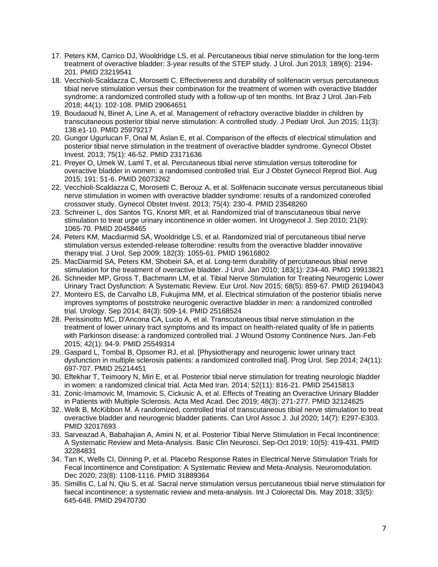- 17. Peters KM, Carrico DJ, Wooldridge LS, et al. Percutaneous tibial nerve stimulation for the long-term treatment of overactive bladder: 3-year results of the STEP study. J Urol. Jun 2013; 189(6): 2194- 201. PMID 23219541
- 18. Vecchioli-Scaldazza C, Morosetti C. Effectiveness and durability of solifenacin versus percutaneous tibial nerve stimulation versus their combination for the treatment of women with overactive bladder syndrome: a randomized controlled study with a follow-up of ten months. Int Braz J Urol. Jan-Feb 2018; 44(1): 102-108. PMID 29064651
- 19. Boudaoud N, Binet A, Line A, et al. Management of refractory overactive bladder in children by transcutaneous posterior tibial nerve stimulation: A controlled study. J Pediatr Urol. Jun 2015; 11(3): 138.e1-10. PMID 25979217
- 20. Gungor Ugurlucan F, Onal M, Aslan E, et al. Comparison of the effects of electrical stimulation and posterior tibial nerve stimulation in the treatment of overactive bladder syndrome. Gynecol Obstet Invest. 2013; 75(1): 46-52. PMID 23171636
- 21. Preyer O, Umek W, Laml T, et al. Percutaneous tibial nerve stimulation versus tolterodine for overactive bladder in women: a randomised controlled trial. Eur J Obstet Gynecol Reprod Biol. Aug 2015; 191: 51-6. PMID 26073262
- 22. Vecchioli-Scaldazza C, Morosetti C, Berouz A, et al. Solifenacin succinate versus percutaneous tibial nerve stimulation in women with overactive bladder syndrome: results of a randomized controlled crossover study. Gynecol Obstet Invest. 2013; 75(4): 230-4. PMID 23548260
- 23. Schreiner L, dos Santos TG, Knorst MR, et al. Randomized trial of transcutaneous tibial nerve stimulation to treat urge urinary incontinence in older women. Int Urogynecol J. Sep 2010; 21(9): 1065-70. PMID 20458465
- 24. Peters KM, Macdiarmid SA, Wooldridge LS, et al. Randomized trial of percutaneous tibial nerve stimulation versus extended-release tolterodine: results from the overactive bladder innovative therapy trial. J Urol. Sep 2009; 182(3): 1055-61. PMID 19616802
- 25. MacDiarmid SA, Peters KM, Shobeiri SA, et al. Long-term durability of percutaneous tibial nerve stimulation for the treatment of overactive bladder. J Urol. Jan 2010; 183(1): 234-40. PMID 19913821
- 26. Schneider MP, Gross T, Bachmann LM, et al. Tibial Nerve Stimulation for Treating Neurogenic Lower Urinary Tract Dysfunction: A Systematic Review. Eur Urol. Nov 2015; 68(5): 859-67. PMID 26194043
- 27. Monteiro ES, de Carvalho LB, Fukujima MM, et al. Electrical stimulation of the posterior tibialis nerve improves symptoms of poststroke neurogenic overactive bladder in men: a randomized controlled trial. Urology. Sep 2014; 84(3): 509-14. PMID 25168524
- 28. Perissinotto MC, D'Ancona CA, Lucio A, et al. Transcutaneous tibial nerve stimulation in the treatment of lower urinary tract symptoms and its impact on health-related quality of life in patients with Parkinson disease: a randomized controlled trial. J Wound Ostomy Continence Nurs. Jan-Feb 2015; 42(1): 94-9. PMID 25549314
- 29. Gaspard L, Tombal B, Opsomer RJ, et al. [Physiotherapy and neurogenic lower urinary tract dysfunction in multiple sclerosis patients: a randomized controlled trial]. Prog Urol. Sep 2014; 24(11): 697-707. PMID 25214451
- 30. Eftekhar T, Teimoory N, Miri E, et al. Posterior tibial nerve stimulation for treating neurologic bladder in women: a randomized clinical trial. Acta Med Iran. 2014; 52(11): 816-21. PMID 25415813
- 31. Zonic-Imamovic M, Imamovic S, Cickusic A, et al. Effects of Treating an Overactive Urinary Bladder in Patients with Multiple Sclerosis. Acta Med Acad. Dec 2019; 48(3): 271-277. PMID 32124625
- 32. Welk B, McKibbon M. A randomized, controlled trial of transcutaneous tibial nerve stimulation to treat overactive bladder and neurogenic bladder patients. Can Urol Assoc J. Jul 2020; 14(7): E297-E303. PMID 32017693
- 33. Sarveazad A, Babahajian A, Amini N, et al. Posterior Tibial Nerve Stimulation in Fecal Incontinence: A Systematic Review and Meta-Analysis. Basic Clin Neurosci. Sep-Oct 2019; 10(5): 419-431. PMID 32284831
- 34. Tan K, Wells CI, Dinning P, et al. Placebo Response Rates in Electrical Nerve Stimulation Trials for Fecal Incontinence and Constipation: A Systematic Review and Meta-Analysis. Neuromodulation. Dec 2020; 23(8): 1108-1116. PMID 31889364
- 35. Simillis C, Lal N, Qiu S, et al. Sacral nerve stimulation versus percutaneous tibial nerve stimulation for faecal incontinence: a systematic review and meta-analysis. Int J Colorectal Dis. May 2018; 33(5): 645-648. PMID 29470730